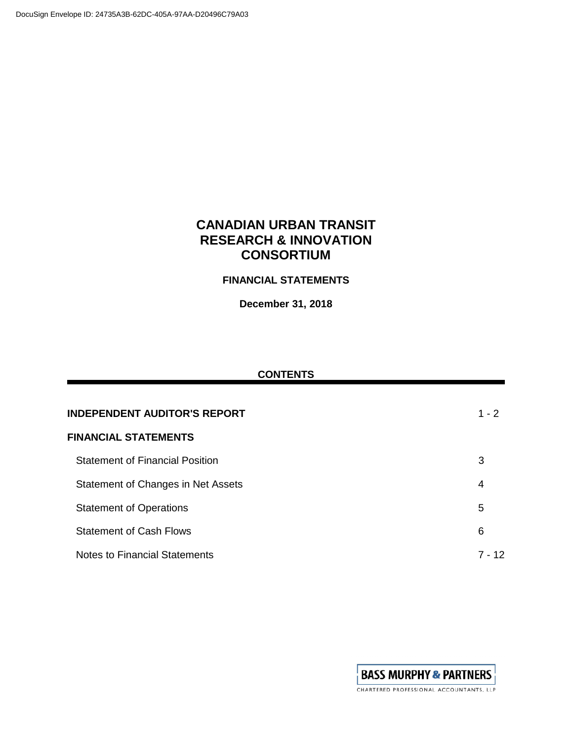# **CANADIAN URBAN TRANSIT RESEARCH & INNOVATION CONSORTIUM**

## **FINANCIAL STATEMENTS**

**December 31, 2018**

### **CONTENTS**

| <b>INDEPENDENT AUDITOR'S REPORT</b>    | $1 - 2$ |  |  |  |
|----------------------------------------|---------|--|--|--|
| <b>FINANCIAL STATEMENTS</b>            |         |  |  |  |
| <b>Statement of Financial Position</b> | 3       |  |  |  |
| Statement of Changes in Net Assets     | 4       |  |  |  |
| <b>Statement of Operations</b>         | 5       |  |  |  |
| <b>Statement of Cash Flows</b>         | 6       |  |  |  |
| <b>Notes to Financial Statements</b>   | 7 - 12  |  |  |  |

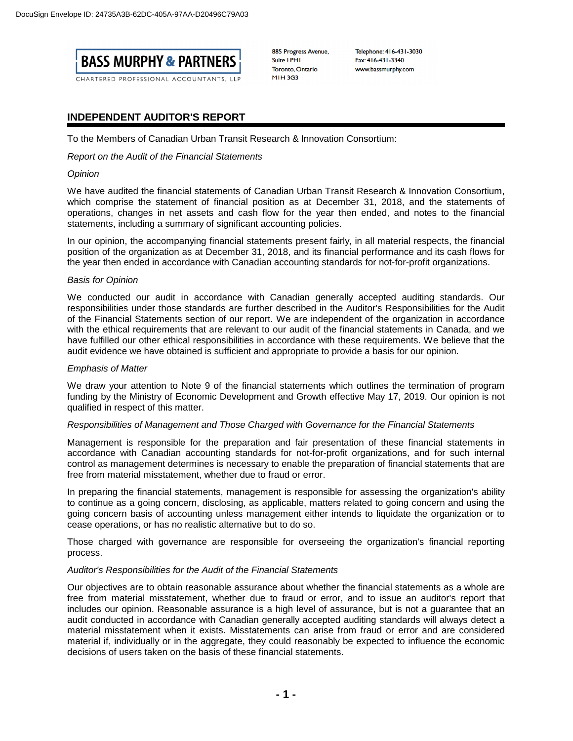

CHARTERED PROFESSIONAL ACCOUNTANTS, LLP

885 Progress Avenue, **Suite LPHI** Toronto, Ontario **MIH3G3** 

Telephone: 416-431-3030 Fax: 416-431-3340 www.bassmurphy.com

### **INDEPENDENT AUDITOR'S REPORT**

To the Members of Canadian Urban Transit Research & Innovation Consortium:

*Report on the Audit of the Financial Statements*

#### *Opinion*

We have audited the financial statements of Canadian Urban Transit Research & Innovation Consortium, which comprise the statement of financial position as at December 31, 2018, and the statements of operations, changes in net assets and cash flow for the year then ended, and notes to the financial statements, including a summary of significant accounting policies.

In our opinion, the accompanying financial statements present fairly, in all material respects, the financial position of the organization as at December 31, 2018, and its financial performance and its cash flows for the year then ended in accordance with Canadian accounting standards for not-for-profit organizations.

#### *Basis for Opinion*

We conducted our audit in accordance with Canadian generally accepted auditing standards. Our responsibilities under those standards are further described in the Auditor's Responsibilities for the Audit of the Financial Statements section of our report. We are independent of the organization in accordance with the ethical requirements that are relevant to our audit of the financial statements in Canada, and we have fulfilled our other ethical responsibilities in accordance with these requirements. We believe that the audit evidence we have obtained is sufficient and appropriate to provide a basis for our opinion.

#### *Emphasis of Matter*

We draw your attention to Note 9 of the financial statements which outlines the termination of program funding by the Ministry of Economic Development and Growth effective May 17, 2019. Our opinion is not qualified in respect of this matter.

#### *Responsibilities of Management and Those Charged with Governance for the Financial Statements*

Management is responsible for the preparation and fair presentation of these financial statements in accordance with Canadian accounting standards for not-for-profit organizations, and for such internal control as management determines is necessary to enable the preparation of financial statements that are free from material misstatement, whether due to fraud or error.

In preparing the financial statements, management is responsible for assessing the organization's ability to continue as a going concern, disclosing, as applicable, matters related to going concern and using the going concern basis of accounting unless management either intends to liquidate the organization or to cease operations, or has no realistic alternative but to do so.

Those charged with governance are responsible for overseeing the organization's financial reporting process.

#### *Auditor's Responsibilities for the Audit of the Financial Statements*

Our objectives are to obtain reasonable assurance about whether the financial statements as a whole are free from material misstatement, whether due to fraud or error, and to issue an auditor's report that includes our opinion. Reasonable assurance is a high level of assurance, but is not a guarantee that an audit conducted in accordance with Canadian generally accepted auditing standards will always detect a material misstatement when it exists. Misstatements can arise from fraud or error and are considered material if, individually or in the aggregate, they could reasonably be expected to influence the economic decisions of users taken on the basis of these financial statements.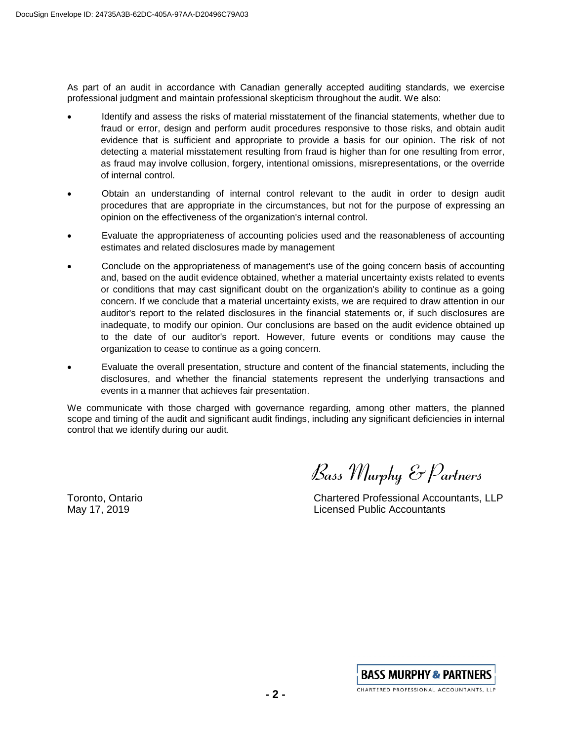As part of an audit in accordance with Canadian generally accepted auditing standards, we exercise professional judgment and maintain professional skepticism throughout the audit. We also:

- Identify and assess the risks of material misstatement of the financial statements, whether due to fraud or error, design and perform audit procedures responsive to those risks, and obtain audit evidence that is sufficient and appropriate to provide a basis for our opinion. The risk of not detecting a material misstatement resulting from fraud is higher than for one resulting from error, as fraud may involve collusion, forgery, intentional omissions, misrepresentations, or the override of internal control.
- Obtain an understanding of internal control relevant to the audit in order to design audit procedures that are appropriate in the circumstances, but not for the purpose of expressing an opinion on the effectiveness of the organization's internal control.
- Evaluate the appropriateness of accounting policies used and the reasonableness of accounting estimates and related disclosures made by management
- Conclude on the appropriateness of management's use of the going concern basis of accounting and, based on the audit evidence obtained, whether a material uncertainty exists related to events or conditions that may cast significant doubt on the organization's ability to continue as a going concern. If we conclude that a material uncertainty exists, we are required to draw attention in our auditor's report to the related disclosures in the financial statements or, if such disclosures are inadequate, to modify our opinion. Our conclusions are based on the audit evidence obtained up to the date of our auditor's report. However, future events or conditions may cause the organization to cease to continue as a going concern.
- Evaluate the overall presentation, structure and content of the financial statements, including the disclosures, and whether the financial statements represent the underlying transactions and events in a manner that achieves fair presentation.

We communicate with those charged with governance regarding, among other matters, the planned scope and timing of the audit and significant audit findings, including any significant deficiencies in internal control that we identify during our audit.

*Bass Murphy & Partners*

Toronto, Ontario Chartered Professional Accountants, LLP May 17, 2019 Licensed Public Accountants

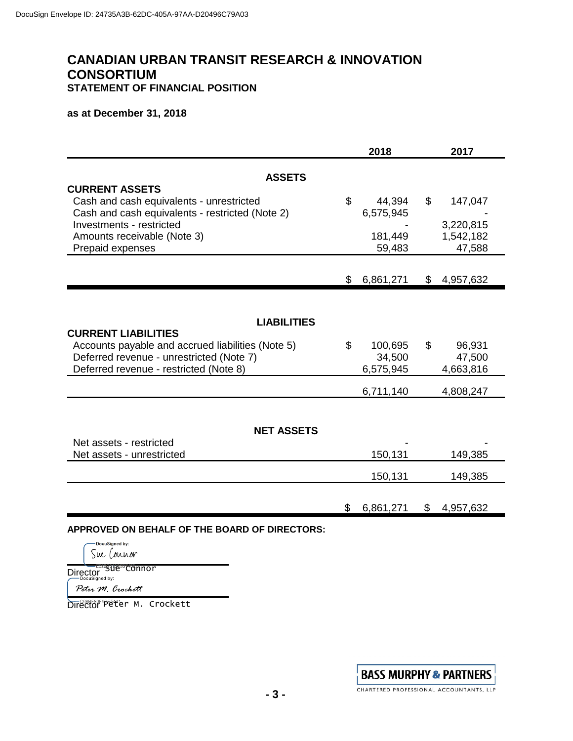# **CANADIAN URBAN TRANSIT RESEARCH & INNOVATION CONSORTIUM STATEMENT OF FINANCIAL POSITION**

## **as at December 31, 2018**

|                                                                                                                                                                                                     | 2018                                 | 2017           |                                             |
|-----------------------------------------------------------------------------------------------------------------------------------------------------------------------------------------------------|--------------------------------------|----------------|---------------------------------------------|
| <b>ASSETS</b>                                                                                                                                                                                       |                                      |                |                                             |
| <b>CURRENT ASSETS</b><br>Cash and cash equivalents - unrestricted<br>Cash and cash equivalents - restricted (Note 2)<br>Investments - restricted<br>Amounts receivable (Note 3)<br>Prepaid expenses | \$<br>44,394<br>6,575,945<br>181,449 | $\mathfrak{L}$ | 147,047<br>3,220,815<br>1,542,182<br>47,588 |
|                                                                                                                                                                                                     | 59,483                               |                |                                             |
|                                                                                                                                                                                                     | \$<br>6,861,271                      | \$             | 4,957,632                                   |
| <b>LIABILITIES</b><br><b>CURRENT LIABILITIES</b><br>Accounts payable and accrued liabilities (Note 5)<br>Deferred revenue - unrestricted (Note 7)<br>Deferred revenue - restricted (Note 8)         | \$<br>100,695<br>34,500<br>6,575,945 | \$             | 96,931<br>47,500<br>4,663,816               |
|                                                                                                                                                                                                     | 6,711,140                            |                | 4,808,247                                   |
| <b>NET ASSETS</b><br>Net assets - restricted<br>Net assets - unrestricted                                                                                                                           | 150,131<br>150,131                   |                | 149,385<br>149,385                          |
|                                                                                                                                                                                                     | \$<br>6,861,271                      | \$             | 4,957,632                                   |

**APPROVED ON BEHALF OF THE BOARD OF DIRECTORS:**

DocuSigned by: Sue Connor

Director<br>Director

Peter M. Crockett

Director Peter M. Crockett

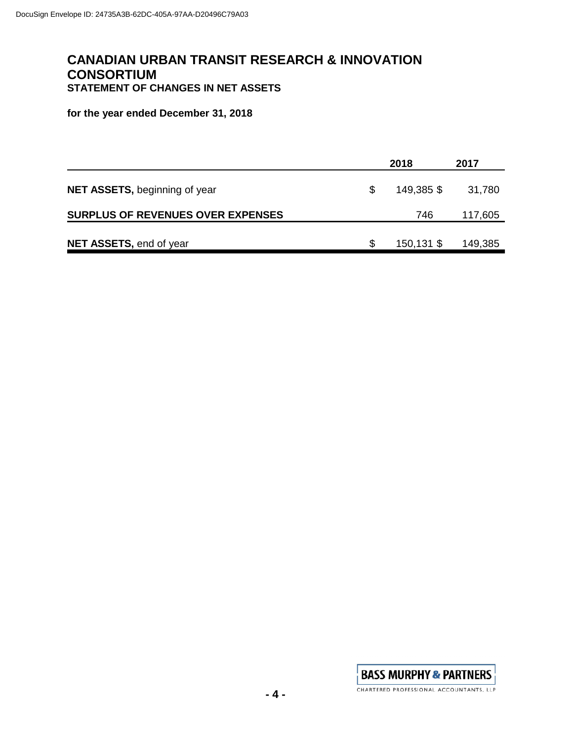# **CANADIAN URBAN TRANSIT RESEARCH & INNOVATION CONSORTIUM STATEMENT OF CHANGES IN NET ASSETS**

**for the year ended December 31, 2018**

|                                          |   | 2018       | 2017    |
|------------------------------------------|---|------------|---------|
| <b>NET ASSETS, beginning of year</b>     | S | 149,385 \$ | 31,780  |
| <b>SURPLUS OF REVENUES OVER EXPENSES</b> |   | 746        | 117,605 |
| <b>NET ASSETS, end of year</b>           | S | 150,131 \$ | 149,385 |

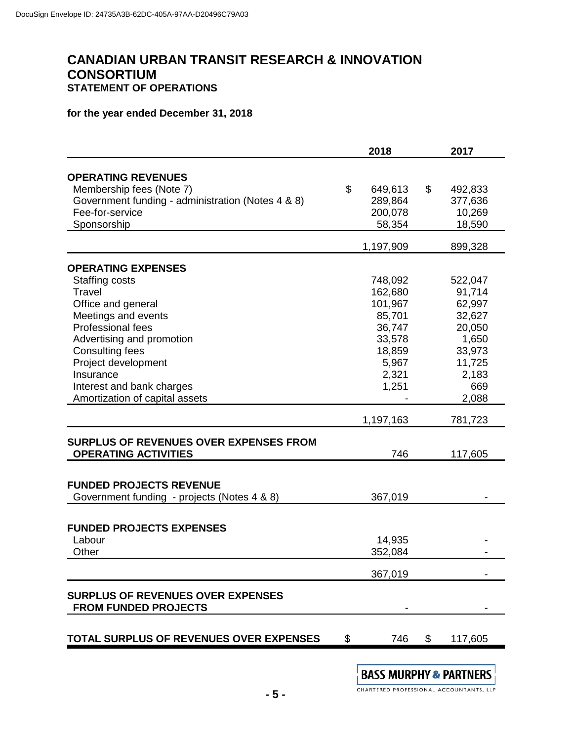# **CANADIAN URBAN TRANSIT RESEARCH & INNOVATION CONSORTIUM STATEMENT OF OPERATIONS**

## **for the year ended December 31, 2018**

|                                                   | 2018 |           |    | 2017    |
|---------------------------------------------------|------|-----------|----|---------|
| <b>OPERATING REVENUES</b>                         |      |           |    |         |
| Membership fees (Note 7)                          | \$   | 649,613   | \$ | 492,833 |
| Government funding - administration (Notes 4 & 8) |      | 289,864   |    | 377,636 |
| Fee-for-service                                   |      | 200,078   |    | 10,269  |
| Sponsorship                                       |      | 58,354    |    | 18,590  |
|                                                   |      |           |    |         |
|                                                   |      | 1,197,909 |    | 899,328 |
| <b>OPERATING EXPENSES</b>                         |      |           |    |         |
| Staffing costs                                    |      | 748,092   |    | 522,047 |
| Travel                                            |      | 162,680   |    | 91,714  |
| Office and general                                |      | 101,967   |    | 62,997  |
| Meetings and events                               |      | 85,701    |    | 32,627  |
| Professional fees                                 |      | 36,747    |    | 20,050  |
| Advertising and promotion                         |      | 33,578    |    | 1,650   |
| <b>Consulting fees</b>                            |      | 18,859    |    | 33,973  |
| Project development                               |      | 5,967     |    | 11,725  |
| Insurance                                         |      | 2,321     |    | 2,183   |
| Interest and bank charges                         |      | 1,251     |    | 669     |
| Amortization of capital assets                    |      |           |    | 2,088   |
|                                                   |      | 1,197,163 |    | 781,723 |
|                                                   |      |           |    |         |
| <b>SURPLUS OF REVENUES OVER EXPENSES FROM</b>     |      |           |    |         |
| <b>OPERATING ACTIVITIES</b>                       |      | 746       |    | 117,605 |
| <b>FUNDED PROJECTS REVENUE</b>                    |      |           |    |         |
|                                                   |      | 367,019   |    |         |
| Government funding - projects (Notes 4 & 8)       |      |           |    |         |
| <b>FUNDED PROJECTS EXPENSES</b>                   |      |           |    |         |
| Labour                                            |      | 14,935    |    |         |
| Other                                             |      | 352,084   |    |         |
|                                                   |      |           |    |         |
|                                                   |      | 367,019   |    |         |
| <b>SURPLUS OF REVENUES OVER EXPENSES</b>          |      |           |    |         |
| <b>FROM FUNDED PROJECTS</b>                       |      |           |    |         |
|                                                   |      |           |    |         |
| TOTAL SURPLUS OF REVENUES OVER EXPENSES           | \$   | 746       | \$ | 117,605 |
|                                                   |      |           |    |         |

BASS MURPHY & PARTNERS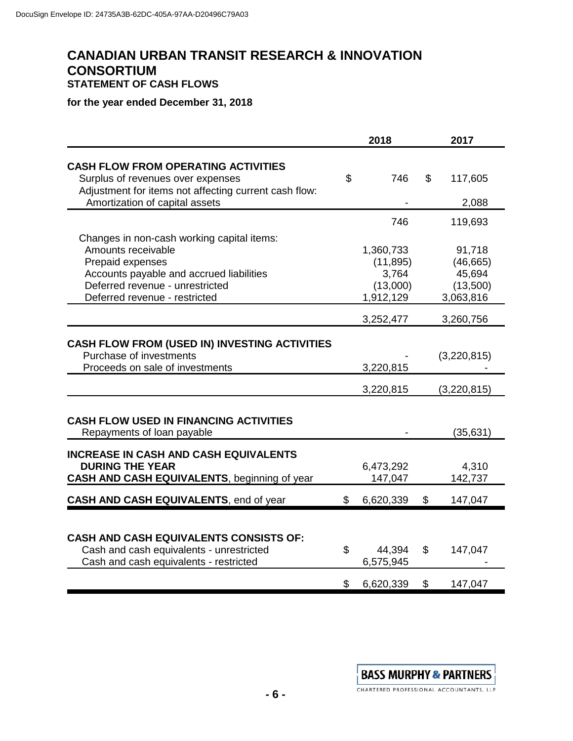# **CANADIAN URBAN TRANSIT RESEARCH & INNOVATION CONSORTIUM STATEMENT OF CASH FLOWS**

## **for the year ended December 31, 2018**

|                                                                                                                                                                                                      | 2018 |                                                          |                | 2017                                                   |  |
|------------------------------------------------------------------------------------------------------------------------------------------------------------------------------------------------------|------|----------------------------------------------------------|----------------|--------------------------------------------------------|--|
| <b>CASH FLOW FROM OPERATING ACTIVITIES</b><br>Surplus of revenues over expenses                                                                                                                      | \$   | 746                                                      | $\mathfrak{L}$ | 117,605                                                |  |
| Adjustment for items not affecting current cash flow:<br>Amortization of capital assets                                                                                                              |      |                                                          |                | 2,088                                                  |  |
|                                                                                                                                                                                                      |      | 746                                                      |                | 119,693                                                |  |
| Changes in non-cash working capital items:<br>Amounts receivable<br>Prepaid expenses<br>Accounts payable and accrued liabilities<br>Deferred revenue - unrestricted<br>Deferred revenue - restricted |      | 1,360,733<br>(11, 895)<br>3,764<br>(13,000)<br>1,912,129 |                | 91,718<br>(46, 665)<br>45,694<br>(13,500)<br>3,063,816 |  |
|                                                                                                                                                                                                      |      | 3,252,477                                                |                | 3,260,756                                              |  |
| <b>CASH FLOW FROM (USED IN) INVESTING ACTIVITIES</b><br>Purchase of investments<br>Proceeds on sale of investments                                                                                   |      | 3,220,815                                                |                | (3,220,815)                                            |  |
|                                                                                                                                                                                                      |      | 3,220,815                                                |                | (3,220,815)                                            |  |
| <b>CASH FLOW USED IN FINANCING ACTIVITIES</b><br>Repayments of loan payable                                                                                                                          |      |                                                          |                | (35, 631)                                              |  |
| <b>INCREASE IN CASH AND CASH EQUIVALENTS</b><br><b>DURING THE YEAR</b><br><b>CASH AND CASH EQUIVALENTS, beginning of year</b>                                                                        |      | 6,473,292<br>147,047                                     |                | 4,310<br>142,737                                       |  |
| <b>CASH AND CASH EQUIVALENTS, end of year</b>                                                                                                                                                        | \$   | 6,620,339                                                | $\mathfrak{L}$ | 147,047                                                |  |
|                                                                                                                                                                                                      |      |                                                          |                |                                                        |  |
| <b>CASH AND CASH EQUIVALENTS CONSISTS OF:</b><br>Cash and cash equivalents - unrestricted<br>Cash and cash equivalents - restricted                                                                  | \$   | 44,394<br>6,575,945                                      | \$             | 147,047                                                |  |
|                                                                                                                                                                                                      | \$   | 6,620,339                                                | \$             | 147,047                                                |  |



CHARTERED PROFESSIONAL ACCOUNTANTS, LLP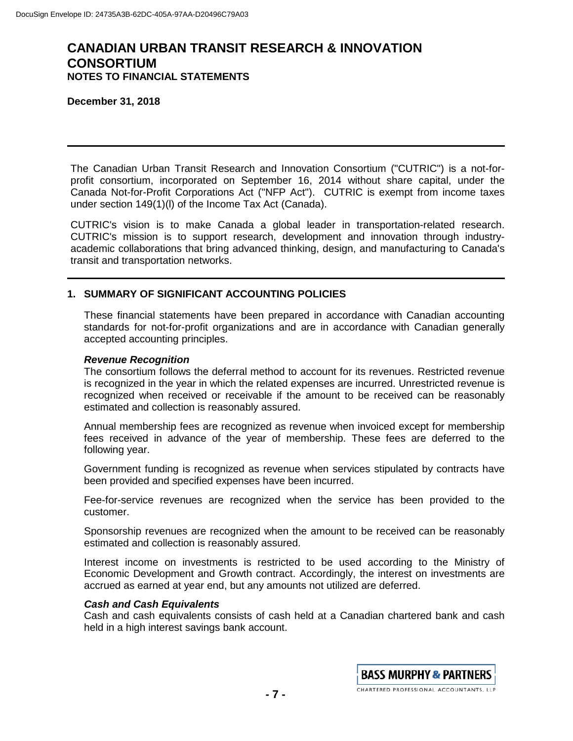**December 31, 2018**

The Canadian Urban Transit Research and Innovation Consortium ("CUTRIC") is a not-forprofit consortium, incorporated on September 16, 2014 without share capital, under the Canada Not-for-Profit Corporations Act ("NFP Act"). CUTRIC is exempt from income taxes under section 149(1)(l) of the Income Tax Act (Canada).

CUTRIC's vision is to make Canada a global leader in transportation-related research. CUTRIC's mission is to support research, development and innovation through industryacademic collaborations that bring advanced thinking, design, and manufacturing to Canada's transit and transportation networks.

## **1. SUMMARY OF SIGNIFICANT ACCOUNTING POLICIES**

These financial statements have been prepared in accordance with Canadian accounting standards for not-for-profit organizations and are in accordance with Canadian generally accepted accounting principles.

#### *Revenue Recognition*

The consortium follows the deferral method to account for its revenues. Restricted revenue is recognized in the year in which the related expenses are incurred. Unrestricted revenue is recognized when received or receivable if the amount to be received can be reasonably estimated and collection is reasonably assured.

Annual membership fees are recognized as revenue when invoiced except for membership fees received in advance of the year of membership. These fees are deferred to the following year.

Government funding is recognized as revenue when services stipulated by contracts have been provided and specified expenses have been incurred.

Fee-for-service revenues are recognized when the service has been provided to the customer.

Sponsorship revenues are recognized when the amount to be received can be reasonably estimated and collection is reasonably assured.

Interest income on investments is restricted to be used according to the Ministry of Economic Development and Growth contract. Accordingly, the interest on investments are accrued as earned at year end, but any amounts not utilized are deferred.

### *Cash and Cash Equivalents*

Cash and cash equivalents consists of cash held at a Canadian chartered bank and cash held in a high interest savings bank account.

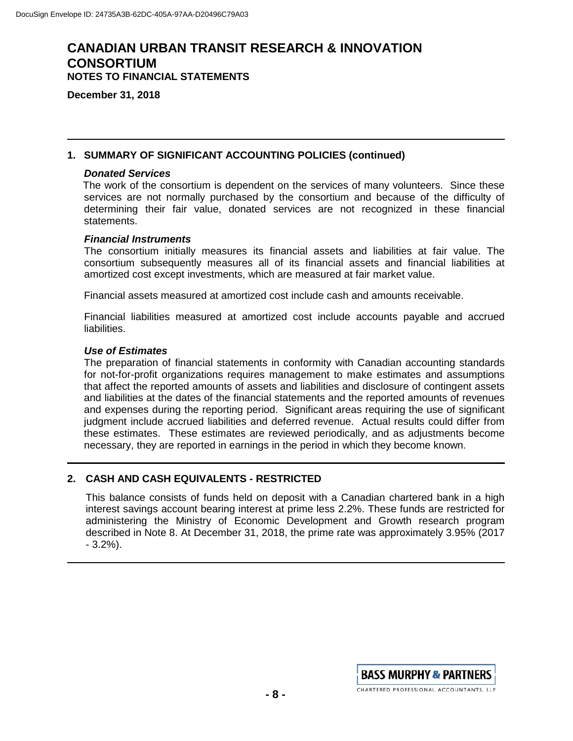**December 31, 2018**

### **1. SUMMARY OF SIGNIFICANT ACCOUNTING POLICIES (continued)**

### *Donated Services*

The work of the consortium is dependent on the services of many volunteers. Since these services are not normally purchased by the consortium and because of the difficulty of determining their fair value, donated services are not recognized in these financial statements.

#### *Financial Instruments*

The consortium initially measures its financial assets and liabilities at fair value. The consortium subsequently measures all of its financial assets and financial liabilities at amortized cost except investments, which are measured at fair market value.

Financial assets measured at amortized cost include cash and amounts receivable.

Financial liabilities measured at amortized cost include accounts payable and accrued liabilities.

#### *Use of Estimates*

The preparation of financial statements in conformity with Canadian accounting standards for not-for-profit organizations requires management to make estimates and assumptions that affect the reported amounts of assets and liabilities and disclosure of contingent assets and liabilities at the dates of the financial statements and the reported amounts of revenues and expenses during the reporting period. Significant areas requiring the use of significant judgment include accrued liabilities and deferred revenue. Actual results could differ from these estimates. These estimates are reviewed periodically, and as adjustments become necessary, they are reported in earnings in the period in which they become known.

## **2. CASH AND CASH EQUIVALENTS - RESTRICTED**

This balance consists of funds held on deposit with a Canadian chartered bank in a high interest savings account bearing interest at prime less 2.2%. These funds are restricted for administering the Ministry of Economic Development and Growth research program described in Note 8. At December 31, 2018, the prime rate was approximately 3.95% (2017 - 3.2%).

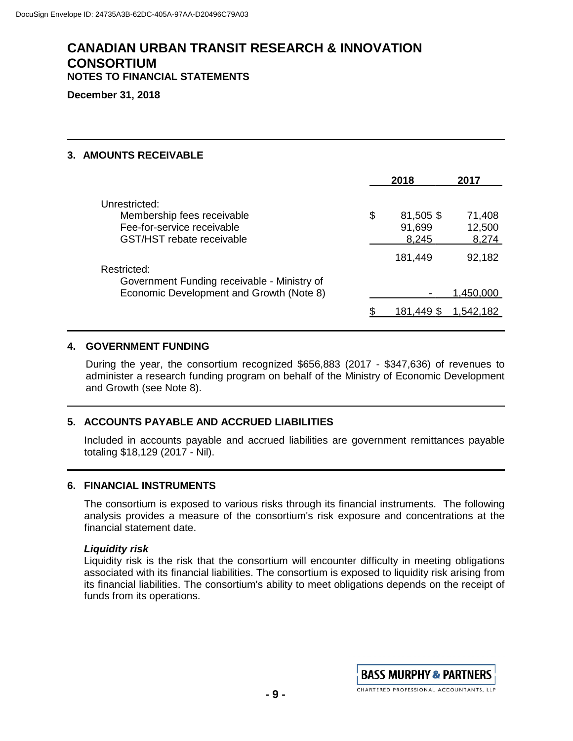**December 31, 2018**

## **3. AMOUNTS RECEIVABLE**

|                                                                                                        | 2018                               | 2017                      |
|--------------------------------------------------------------------------------------------------------|------------------------------------|---------------------------|
| Unrestricted:<br>Membership fees receivable<br>Fee-for-service receivable<br>GST/HST rebate receivable | \$<br>81,505 \$<br>91,699<br>8,245 | 71,408<br>12,500<br>8,274 |
| Restricted:                                                                                            | 181,449                            | 92,182                    |
| Government Funding receivable - Ministry of<br>Economic Development and Growth (Note 8)                |                                    | 1,450,000                 |
|                                                                                                        | 181,449 \$                         | 1.542.182                 |

### **4. GOVERNMENT FUNDING**

During the year, the consortium recognized \$656,883 (2017 - \$347,636) of revenues to administer a research funding program on behalf of the Ministry of Economic Development and Growth (see Note 8).

## **5. ACCOUNTS PAYABLE AND ACCRUED LIABILITIES**

Included in accounts payable and accrued liabilities are government remittances payable totaling \$18,129 (2017 - Nil).

### **6. FINANCIAL INSTRUMENTS**

The consortium is exposed to various risks through its financial instruments. The following analysis provides a measure of the consortium's risk exposure and concentrations at the financial statement date.

### *Liquidity risk*

Liquidity risk is the risk that the consortium will encounter difficulty in meeting obligations associated with its financial liabilities. The consortium is exposed to liquidity risk arising from its financial liabilities. The consortium's ability to meet obligations depends on the receipt of funds from its operations.

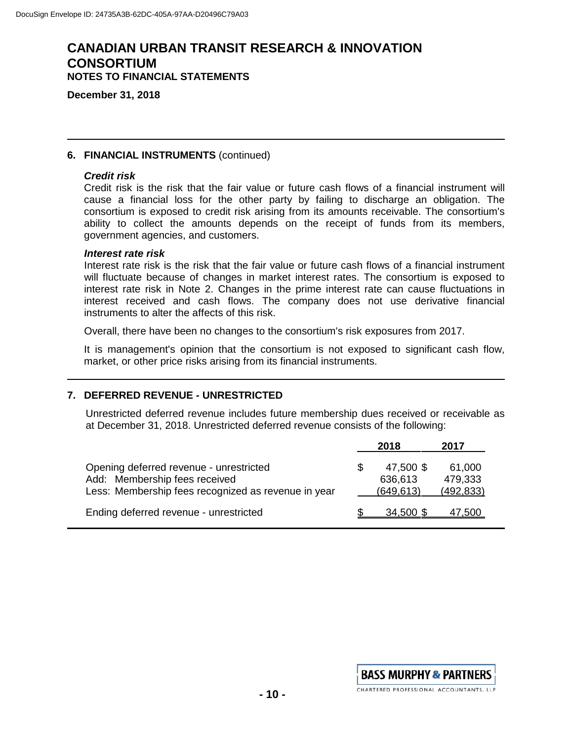**December 31, 2018**

### **6. FINANCIAL INSTRUMENTS** (continued)

#### *Credit risk*

Credit risk is the risk that the fair value or future cash flows of a financial instrument will cause a financial loss for the other party by failing to discharge an obligation. The consortium is exposed to credit risk arising from its amounts receivable. The consortium's ability to collect the amounts depends on the receipt of funds from its members, government agencies, and customers.

#### *Interest rate risk*

Interest rate risk is the risk that the fair value or future cash flows of a financial instrument will fluctuate because of changes in market interest rates. The consortium is exposed to interest rate risk in Note 2. Changes in the prime interest rate can cause fluctuations in interest received and cash flows. The company does not use derivative financial instruments to alter the affects of this risk.

Overall, there have been no changes to the consortium's risk exposures from 2017.

It is management's opinion that the consortium is not exposed to significant cash flow, market, or other price risks arising from its financial instruments.

### **7. DEFERRED REVENUE - UNRESTRICTED**

Unrestricted deferred revenue includes future membership dues received or receivable as at December 31, 2018. Unrestricted deferred revenue consists of the following:

|                                                                                                                                 |   | 2018                              | 2017                            |
|---------------------------------------------------------------------------------------------------------------------------------|---|-----------------------------------|---------------------------------|
| Opening deferred revenue - unrestricted<br>Add: Membership fees received<br>Less: Membership fees recognized as revenue in year | S | 47,500 \$<br>636,613<br>(649,613) | 61,000<br>479,333<br>(492, 833) |
| Ending deferred revenue - unrestricted                                                                                          |   | 34,500 \$                         | 47.500                          |

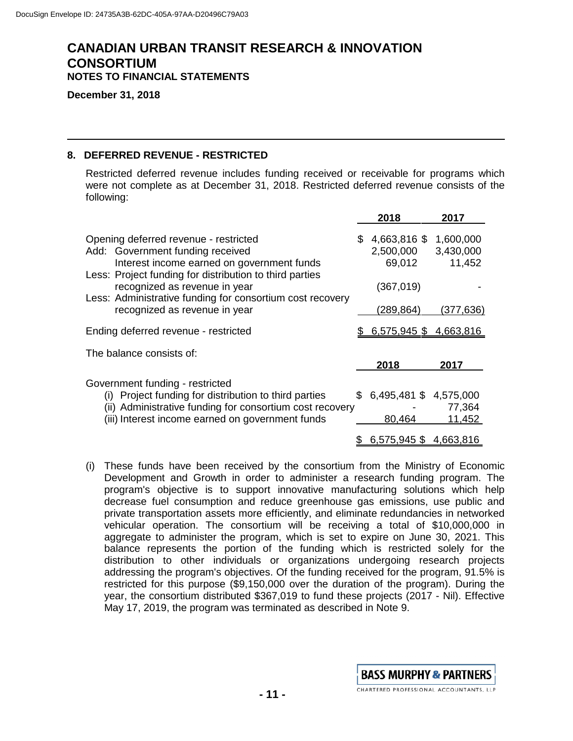**December 31, 2018**

### **8. DEFERRED REVENUE - RESTRICTED**

Restricted deferred revenue includes funding received or receivable for programs which were not complete as at December 31, 2018. Restricted deferred revenue consists of the following:

|                                                                                                                                                                                    |     | 2018                                | 2017                             |
|------------------------------------------------------------------------------------------------------------------------------------------------------------------------------------|-----|-------------------------------------|----------------------------------|
| Opening deferred revenue - restricted<br>Add: Government funding received<br>Interest income earned on government funds<br>Less: Project funding for distribution to third parties | \$. | 4,663,816 \$<br>2,500,000<br>69,012 | 1,600,000<br>3,430,000<br>11,452 |
| recognized as revenue in year<br>Less: Administrative funding for consortium cost recovery                                                                                         |     | (367, 019)                          |                                  |
| recognized as revenue in year                                                                                                                                                      |     | (289,864)                           | (377,636)                        |
| Ending deferred revenue - restricted                                                                                                                                               |     | 6,575,945 \$4,663,816               |                                  |
| The balance consists of:                                                                                                                                                           |     |                                     |                                  |
|                                                                                                                                                                                    |     | 2018                                | 2017                             |
| Government funding - restricted                                                                                                                                                    |     |                                     |                                  |
| Project funding for distribution to third parties<br>(i)                                                                                                                           | \$. | 6,495,481 \$4,575,000               |                                  |
| (ii) Administrative funding for consortium cost recovery                                                                                                                           |     |                                     | 77,364                           |
| (iii) Interest income earned on government funds                                                                                                                                   |     | 80,464                              | 11,452                           |
|                                                                                                                                                                                    |     | 6,575,945 \$4,663,816               |                                  |

(i) These funds have been received by the consortium from the Ministry of Economic Development and Growth in order to administer a research funding program. The program's objective is to support innovative manufacturing solutions which help decrease fuel consumption and reduce greenhouse gas emissions, use public and private transportation assets more efficiently, and eliminate redundancies in networked vehicular operation. The consortium will be receiving a total of \$10,000,000 in aggregate to administer the program, which is set to expire on June 30, 2021. This balance represents the portion of the funding which is restricted solely for the distribution to other individuals or organizations undergoing research projects addressing the program's objectives. Of the funding received for the program, 91.5% is restricted for this purpose (\$9,150,000 over the duration of the program). During the year, the consortium distributed \$367,019 to fund these projects (2017 - Nil). Effective May 17, 2019, the program was terminated as described in Note 9.

**BASS MURPHY & PARTNERS** CHARTERED PROFESSIONAL ACCOUNTANTS, LLP